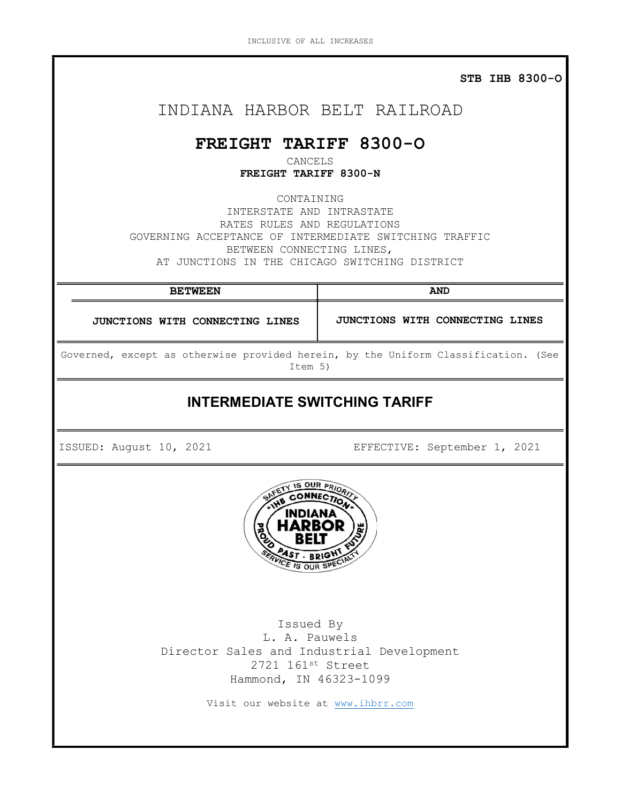STB IHB 8300-O

# INDIANA HARBOR BELT RAILROAD

# FREIGHT TARIFF 8300-O

CANCELS FREIGHT TARIFF 8300-N

CONTAINING INTERSTATE AND INTRASTATE RATES RULES AND REGULATIONS GOVERNING ACCEPTANCE OF INTERMEDIATE SWITCHING TRAFFIC BETWEEN CONNECTING LINES, AT JUNCTIONS IN THE CHICAGO SWITCHING DISTRICT

BETWEEN AND JUNCTIONS WITH CONNECTING LINES JUNCTIONS WITH CONNECTING LINES Governed, except as otherwise provided herein, by the Uniform Classification. (See Item 5) INTERMEDIATE SWITCHING TARIFF ISSUED: August 10, 2021 EFFECTIVE: September 1, 2021 **IS OUR PRI** E IS OUR SPE Issued By L. A. Pauwels Director Sales and Industrial Development 2721 161st Street Hammond, IN 46323-1099 Visit our website at www.ihbrr.com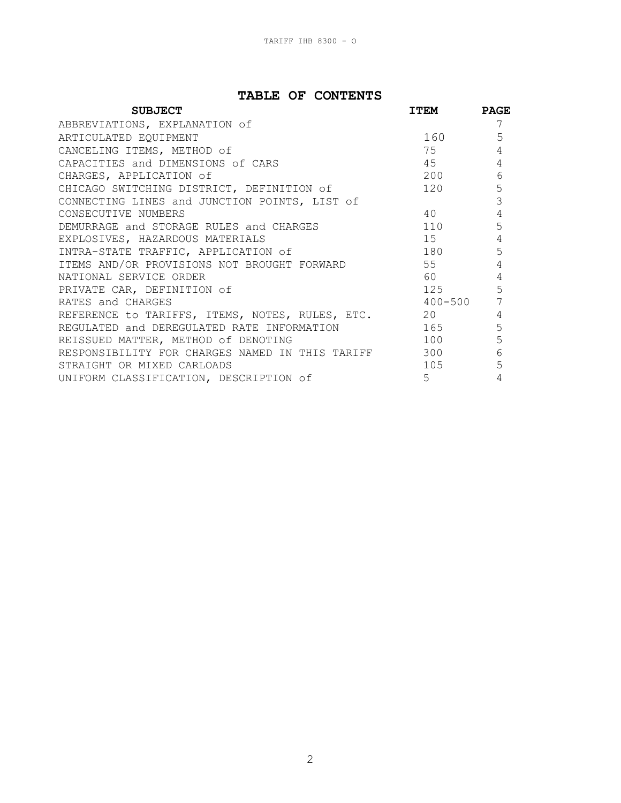# TABLE OF CONTENTS

| <b>SUBJECT</b>                                      | <b>ITEM</b>                                                                                                                                                                                                                     | <b>PAGE</b> |
|-----------------------------------------------------|---------------------------------------------------------------------------------------------------------------------------------------------------------------------------------------------------------------------------------|-------------|
| ABBREVIATIONS, EXPLANATION of                       |                                                                                                                                                                                                                                 | 7           |
| ARTICULATED EQUIPMENT                               | 160                                                                                                                                                                                                                             | 5           |
| CANCELING ITEMS, METHOD of                          | 75                                                                                                                                                                                                                              |             |
| CAPACITIES and DIMENSIONS of CARS                   | 45                                                                                                                                                                                                                              | 4           |
| CHARGES, APPLICATION of                             | 200                                                                                                                                                                                                                             | 6           |
| CHICAGO SWITCHING DISTRICT, DEFINITION of           | 120                                                                                                                                                                                                                             | 5           |
| CONNECTING LINES and JUNCTION POINTS, LIST of       |                                                                                                                                                                                                                                 | 3           |
| CONSECUTIVE NUMBERS                                 | 40                                                                                                                                                                                                                              | 4           |
| DEMURRAGE and STORAGE RULES and CHARGES             | 110                                                                                                                                                                                                                             | 5           |
| EXPLOSIVES, HAZARDOUS MATERIALS                     | 15                                                                                                                                                                                                                              |             |
| INTRA-STATE TRAFFIC, APPLICATION of                 | 180 3                                                                                                                                                                                                                           | 5           |
| ITEMS AND/OR PROVISIONS NOT BROUGHT FORWARD         | 55                                                                                                                                                                                                                              |             |
| NATIONAL SERVICE ORDER                              | 60 — 100 — 100 — 100 — 100 — 100 — 100 — 100 — 100 — 100 — 100 — 100 — 100 — 100 — 100 — 100 — 100 — 100 — 100 — 100 — 100 — 100 — 100 — 100 — 100 — 100 — 100 — 100 — 100 — 100 — 100 — 100 — 100 — 100 — 100 — 100 — 100 — 10 |             |
| PRIVATE CAR, DEFINITION of                          | 125                                                                                                                                                                                                                             | 5           |
| RATES and CHARGES                                   | $400 - 500$                                                                                                                                                                                                                     |             |
| REFERENCE to TARIFFS, ITEMS, NOTES, RULES, ETC.     | 20                                                                                                                                                                                                                              | 4           |
| REGULATED and DEREGULATED RATE INFORMATION          | 165 116                                                                                                                                                                                                                         | 5           |
| REISSUED MATTER, METHOD of DENOTING                 | 100                                                                                                                                                                                                                             | 5           |
| RESPONSIBILITY FOR CHARGES NAMED IN THIS TARIFF 300 |                                                                                                                                                                                                                                 | 6           |
| STRAIGHT OR MIXED CARLOADS                          | 105                                                                                                                                                                                                                             | 5           |
| UNIFORM CLASSIFICATION, DESCRIPTION of              | $5^{\circ}$                                                                                                                                                                                                                     |             |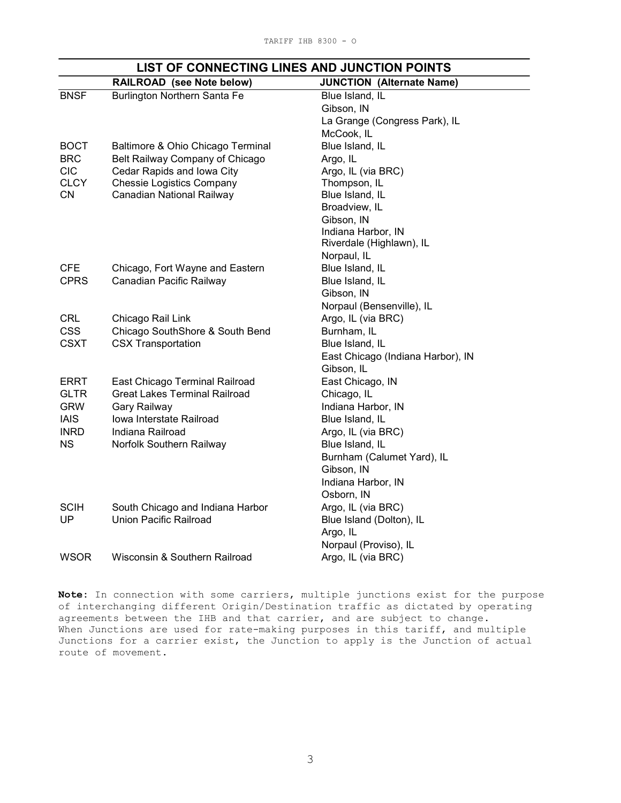|             | <b>RAILROAD</b> (see Note below)     | <b>JUNCTION (Alternate Name)</b>  |
|-------------|--------------------------------------|-----------------------------------|
| <b>BNSF</b> | Burlington Northern Santa Fe         | Blue Island, IL                   |
|             |                                      | Gibson, IN                        |
|             |                                      | La Grange (Congress Park), IL     |
|             |                                      | McCook, IL                        |
| <b>BOCT</b> | Baltimore & Ohio Chicago Terminal    | Blue Island, IL                   |
| <b>BRC</b>  | Belt Railway Company of Chicago      | Argo, IL                          |
| <b>CIC</b>  | Cedar Rapids and Iowa City           | Argo, IL (via BRC)                |
| <b>CLCY</b> | <b>Chessie Logistics Company</b>     | Thompson, IL                      |
| <b>CN</b>   | Canadian National Railway            | Blue Island, IL                   |
|             |                                      | Broadview, IL                     |
|             |                                      | Gibson, IN                        |
|             |                                      | Indiana Harbor, IN                |
|             |                                      | Riverdale (Highlawn), IL          |
|             |                                      | Norpaul, IL                       |
| <b>CFE</b>  | Chicago, Fort Wayne and Eastern      | Blue Island, IL                   |
| <b>CPRS</b> | Canadian Pacific Railway             | Blue Island, IL                   |
|             |                                      | Gibson, IN                        |
|             |                                      | Norpaul (Bensenville), IL         |
| <b>CRL</b>  | Chicago Rail Link                    | Argo, IL (via BRC)                |
| <b>CSS</b>  | Chicago SouthShore & South Bend      | Burnham, IL                       |
| <b>CSXT</b> | <b>CSX Transportation</b>            | Blue Island, IL                   |
|             |                                      | East Chicago (Indiana Harbor), IN |
|             |                                      | Gibson, IL                        |
| <b>ERRT</b> | East Chicago Terminal Railroad       | East Chicago, IN                  |
| <b>GLTR</b> | <b>Great Lakes Terminal Railroad</b> | Chicago, IL                       |
| <b>GRW</b>  | Gary Railway                         | Indiana Harbor, IN                |
| <b>IAIS</b> | Iowa Interstate Railroad             | Blue Island, IL                   |
| <b>INRD</b> | Indiana Railroad                     | Argo, IL (via BRC)                |
| <b>NS</b>   | Norfolk Southern Railway             | Blue Island, IL                   |
|             |                                      | Burnham (Calumet Yard), IL        |
|             |                                      | Gibson, IN                        |
|             |                                      | Indiana Harbor, IN                |
|             |                                      | Osborn, IN                        |
| <b>SCIH</b> | South Chicago and Indiana Harbor     | Argo, IL (via BRC)                |
| UP          | Union Pacific Railroad               | Blue Island (Dolton), IL          |
|             |                                      | Argo, IL                          |
|             |                                      | Norpaul (Proviso), IL             |
| <b>WSOR</b> | Wisconsin & Southern Railroad        | Argo, IL (via BRC)                |

# LIST OF CONNECTING LINES AND JUNCTION POINTS

Note: In connection with some carriers, multiple junctions exist for the purpose of interchanging different Origin/Destination traffic as dictated by operating agreements between the IHB and that carrier, and are subject to change. When Junctions are used for rate-making purposes in this tariff, and multiple Junctions for a carrier exist, the Junction to apply is the Junction of actual route of movement.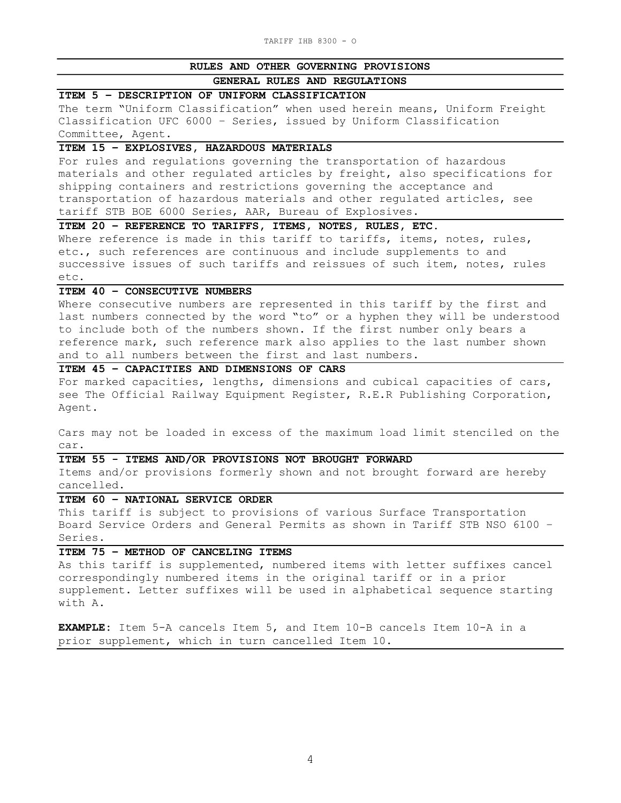#### RULES AND OTHER GOVERNING PROVISIONS

# GENERAL RULES AND REGULATIONS

#### ITEM 5 – DESCRIPTION OF UNIFORM CLASSIFICATION

The term "Uniform Classification" when used herein means, Uniform Freight Classification UFC 6000 – Series, issued by Uniform Classification Committee, Agent.

#### ITEM 15 – EXPLOSIVES, HAZARDOUS MATERIALS

For rules and regulations governing the transportation of hazardous materials and other regulated articles by freight, also specifications for shipping containers and restrictions governing the acceptance and transportation of hazardous materials and other regulated articles, see tariff STB BOE 6000 Series, AAR, Bureau of Explosives.

ITEM 20 – REFERENCE TO TARIFFS, ITEMS, NOTES, RULES, ETC.

Where reference is made in this tariff to tariffs, items, notes, rules, etc., such references are continuous and include supplements to and successive issues of such tariffs and reissues of such item, notes, rules etc.

### ITEM 40 – CONSECUTIVE NUMBERS

Where consecutive numbers are represented in this tariff by the first and last numbers connected by the word "to" or a hyphen they will be understood to include both of the numbers shown. If the first number only bears a reference mark, such reference mark also applies to the last number shown and to all numbers between the first and last numbers.

# ITEM 45 – CAPACITIES AND DIMENSIONS OF CARS

For marked capacities, lengths, dimensions and cubical capacities of cars, see The Official Railway Equipment Register, R.E.R Publishing Corporation, Agent.

Cars may not be loaded in excess of the maximum load limit stenciled on the car.

#### ITEM 55 - ITEMS AND/OR PROVISIONS NOT BROUGHT FORWARD

Items and/or provisions formerly shown and not brought forward are hereby cancelled.

# ITEM 60 – NATIONAL SERVICE ORDER

This tariff is subject to provisions of various Surface Transportation Board Service Orders and General Permits as shown in Tariff STB NSO 6100 – Series.

# ITEM 75 – METHOD OF CANCELING ITEMS

As this tariff is supplemented, numbered items with letter suffixes cancel correspondingly numbered items in the original tariff or in a prior supplement. Letter suffixes will be used in alphabetical sequence starting with A.

EXAMPLE: Item 5-A cancels Item 5, and Item 10-B cancels Item 10-A in a prior supplement, which in turn cancelled Item 10.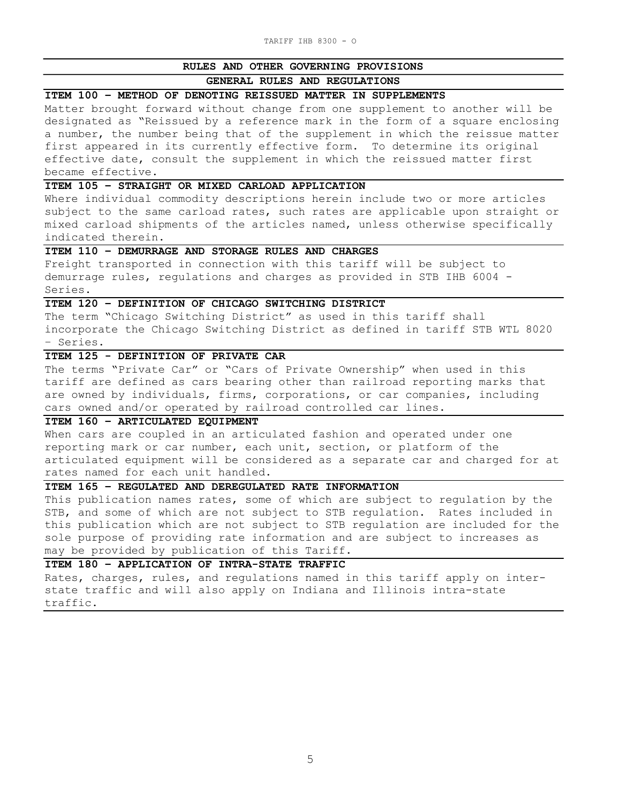#### RULES AND OTHER GOVERNING PROVISIONS

#### GENERAL RULES AND REGULATIONS

#### ITEM 100 – METHOD OF DENOTING REISSUED MATTER IN SUPPLEMENTS

Matter brought forward without change from one supplement to another will be designated as "Reissued by a reference mark in the form of a square enclosing a number, the number being that of the supplement in which the reissue matter first appeared in its currently effective form. To determine its original effective date, consult the supplement in which the reissued matter first became effective.

#### ITEM 105 – STRAIGHT OR MIXED CARLOAD APPLICATION

Where individual commodity descriptions herein include two or more articles subject to the same carload rates, such rates are applicable upon straight or mixed carload shipments of the articles named, unless otherwise specifically indicated therein.

#### ITEM 110 – DEMURRAGE AND STORAGE RULES AND CHARGES

Freight transported in connection with this tariff will be subject to demurrage rules, regulations and charges as provided in STB IHB 6004 - Series.

## ITEM 120 – DEFINITION OF CHICAGO SWITCHING DISTRICT

The term "Chicago Switching District" as used in this tariff shall incorporate the Chicago Switching District as defined in tariff STB WTL 8020 – Series.

#### ITEM 125 - DEFINITION OF PRIVATE CAR

The terms "Private Car" or "Cars of Private Ownership" when used in this tariff are defined as cars bearing other than railroad reporting marks that are owned by individuals, firms, corporations, or car companies, including cars owned and/or operated by railroad controlled car lines.

#### ITEM 160 – ARTICULATED EQUIPMENT

When cars are coupled in an articulated fashion and operated under one reporting mark or car number, each unit, section, or platform of the articulated equipment will be considered as a separate car and charged for at rates named for each unit handled.

# ITEM 165 – REGULATED AND DEREGULATED RATE INFORMATION

This publication names rates, some of which are subject to regulation by the STB, and some of which are not subject to STB regulation. Rates included in this publication which are not subject to STB regulation are included for the sole purpose of providing rate information and are subject to increases as may be provided by publication of this Tariff.

#### ITEM 180 – APPLICATION OF INTRA-STATE TRAFFIC

Rates, charges, rules, and regulations named in this tariff apply on interstate traffic and will also apply on Indiana and Illinois intra-state traffic.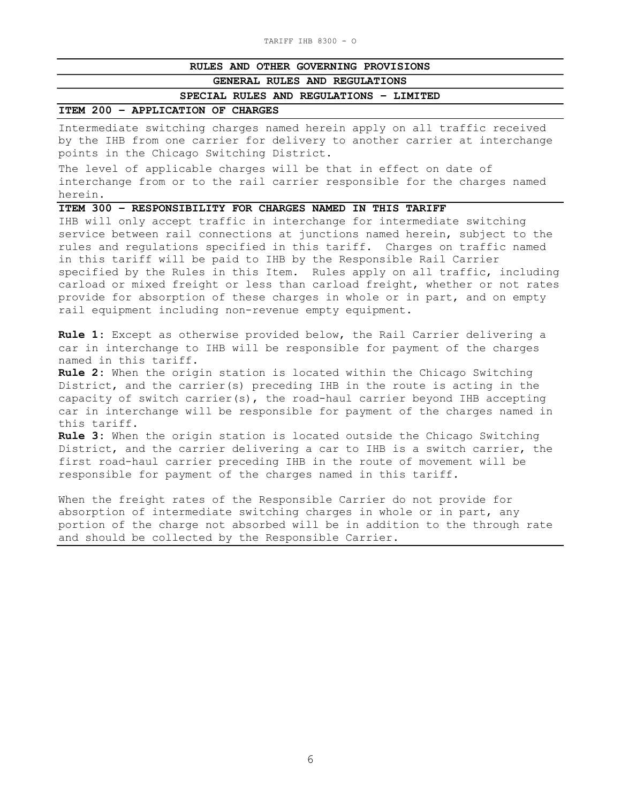## RULES AND OTHER GOVERNING PROVISIONS

#### GENERAL RULES AND REGULATIONS

SPECIAL RULES AND REGULATIONS – LIMITED

#### ITEM 200 – APPLICATION OF CHARGES

Intermediate switching charges named herein apply on all traffic received by the IHB from one carrier for delivery to another carrier at interchange points in the Chicago Switching District.

The level of applicable charges will be that in effect on date of interchange from or to the rail carrier responsible for the charges named herein.

## ITEM 300 – RESPONSIBILITY FOR CHARGES NAMED IN THIS TARIFF

IHB will only accept traffic in interchange for intermediate switching service between rail connections at junctions named herein, subject to the rules and regulations specified in this tariff. Charges on traffic named in this tariff will be paid to IHB by the Responsible Rail Carrier specified by the Rules in this Item. Rules apply on all traffic, including carload or mixed freight or less than carload freight, whether or not rates provide for absorption of these charges in whole or in part, and on empty rail equipment including non-revenue empty equipment.

Rule 1: Except as otherwise provided below, the Rail Carrier delivering a car in interchange to IHB will be responsible for payment of the charges named in this tariff.

Rule 2: When the origin station is located within the Chicago Switching District, and the carrier(s) preceding IHB in the route is acting in the capacity of switch carrier(s), the road-haul carrier beyond IHB accepting car in interchange will be responsible for payment of the charges named in this tariff.

Rule 3: When the origin station is located outside the Chicago Switching District, and the carrier delivering a car to IHB is a switch carrier, the first road-haul carrier preceding IHB in the route of movement will be responsible for payment of the charges named in this tariff.

When the freight rates of the Responsible Carrier do not provide for absorption of intermediate switching charges in whole or in part, any portion of the charge not absorbed will be in addition to the through rate and should be collected by the Responsible Carrier.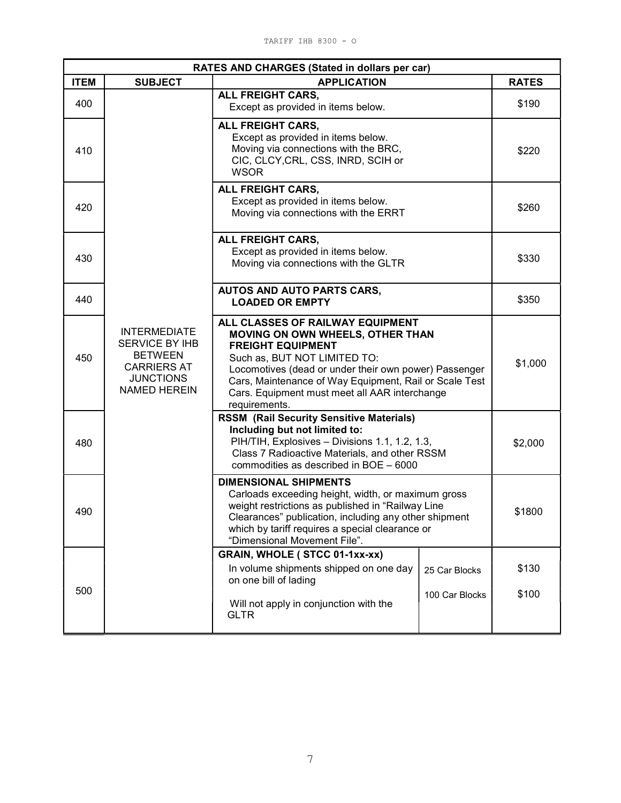| RATES AND CHARGES (Stated in dollars per car) |                                                                                                                                                                                                                                                                                                                                                                                                                                                          |                                                                                                                                                                  |                                 |                |  |
|-----------------------------------------------|----------------------------------------------------------------------------------------------------------------------------------------------------------------------------------------------------------------------------------------------------------------------------------------------------------------------------------------------------------------------------------------------------------------------------------------------------------|------------------------------------------------------------------------------------------------------------------------------------------------------------------|---------------------------------|----------------|--|
| <b>ITEM</b>                                   | <b>APPLICATION</b><br><b>SUBJECT</b>                                                                                                                                                                                                                                                                                                                                                                                                                     |                                                                                                                                                                  | <b>RATES</b>                    |                |  |
| 400                                           |                                                                                                                                                                                                                                                                                                                                                                                                                                                          | ALL FREIGHT CARS,<br>Except as provided in items below.                                                                                                          |                                 | \$190          |  |
| 410                                           |                                                                                                                                                                                                                                                                                                                                                                                                                                                          | ALL FREIGHT CARS,<br>Except as provided in items below.<br>Moving via connections with the BRC,<br>CIC, CLCY, CRL, CSS, INRD, SCIH or<br><b>WSOR</b>             |                                 | \$220          |  |
| 420                                           |                                                                                                                                                                                                                                                                                                                                                                                                                                                          | ALL FREIGHT CARS,<br>Except as provided in items below.<br>Moving via connections with the ERRT                                                                  |                                 | \$260          |  |
| 430                                           |                                                                                                                                                                                                                                                                                                                                                                                                                                                          | ALL FREIGHT CARS,<br>Except as provided in items below.<br>Moving via connections with the GLTR                                                                  |                                 | \$330          |  |
| 440                                           |                                                                                                                                                                                                                                                                                                                                                                                                                                                          | AUTOS AND AUTO PARTS CARS,<br><b>LOADED OR EMPTY</b>                                                                                                             |                                 | \$350          |  |
| 450                                           | ALL CLASSES OF RAILWAY EQUIPMENT<br><b>INTERMEDIATE</b><br><b>MOVING ON OWN WHEELS, OTHER THAN</b><br>SERVICE BY IHB<br><b>FREIGHT EQUIPMENT</b><br><b>BETWEEN</b><br>Such as, BUT NOT LIMITED TO:<br><b>CARRIERS AT</b><br>Locomotives (dead or under their own power) Passenger<br><b>JUNCTIONS</b><br>Cars, Maintenance of Way Equipment, Rail or Scale Test<br><b>NAMED HEREIN</b><br>Cars. Equipment must meet all AAR interchange<br>requirements. |                                                                                                                                                                  | \$1,000                         |                |  |
| 480                                           | <b>RSSM (Rail Security Sensitive Materials)</b><br>Including but not limited to:<br>PIH/TIH, Explosives - Divisions 1.1, 1.2, 1.3,<br>Class 7 Radioactive Materials, and other RSSM<br>commodities as described in BOE - 6000                                                                                                                                                                                                                            |                                                                                                                                                                  | \$2,000                         |                |  |
| 490                                           | <b>DIMENSIONAL SHIPMENTS</b><br>Carloads exceeding height, width, or maximum gross<br>weight restrictions as published in "Railway Line<br>Clearances" publication, including any other shipment<br>which by tariff requires a special clearance or<br>"Dimensional Movement File".                                                                                                                                                                      |                                                                                                                                                                  | \$1800                          |                |  |
| 500                                           |                                                                                                                                                                                                                                                                                                                                                                                                                                                          | <b>GRAIN, WHOLE (STCC 01-1xx-xx)</b><br>In volume shipments shipped on one day<br>on one bill of lading<br>Will not apply in conjunction with the<br><b>GLTR</b> | 25 Car Blocks<br>100 Car Blocks | \$130<br>\$100 |  |